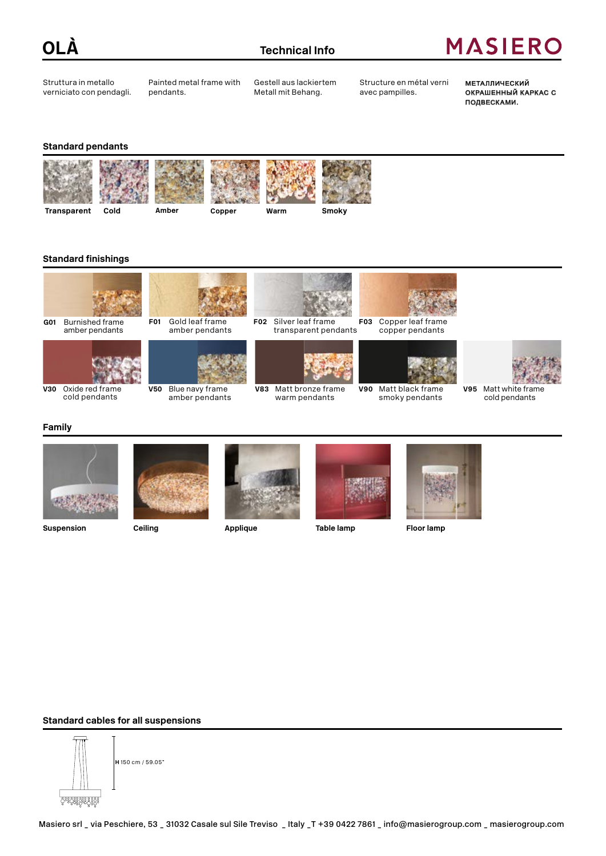

Struttura in metallo verniciato con pendagli. Painted metal frame with pendants.

Gestell aus lackiertem Metall mit Behang.

Structure en métal verni avec pampilles.

Металлический окрашенный каркас с подвесками.

### **Standard pendants**











### **Standard finishings**



**G01** Burnished frame amber pendants



**V50** Blue navy frame

amber pendants



**V83** Matt bronze frame warm pendants



copper pendants





**V95** Matt white frame cold pendants

#### **Family**



**V30** Oxide red frame cold pendants

**Ceiling**







#### **Standard cables for all suspensions**

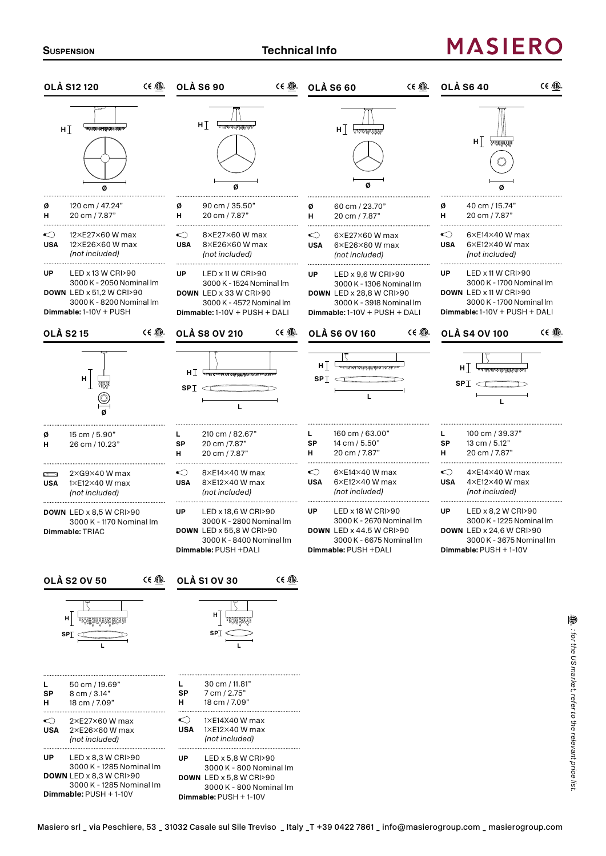# **MASIERO**

| <b>OLÀ S12 120</b>                                                                                                                             | $CE \oplus$<br>$CE \oplus$<br><b>OLÀ S6 90</b>                                                                                                             | $CE$ $\circledR$ .<br><b>OLÀ S6 60</b>                                                                                                                                                                                                                                                                                                                                                                                          | $CE$ $\circledR$ .<br><b>OLÀ S6 40</b>                                                                                                                  |
|------------------------------------------------------------------------------------------------------------------------------------------------|------------------------------------------------------------------------------------------------------------------------------------------------------------|---------------------------------------------------------------------------------------------------------------------------------------------------------------------------------------------------------------------------------------------------------------------------------------------------------------------------------------------------------------------------------------------------------------------------------|---------------------------------------------------------------------------------------------------------------------------------------------------------|
| walio indiana katika ilikuwa<br>н $\mathbb I$                                                                                                  | н $\mathbb I$<br><del>᠂᠇᠇ᡙᢦᢦᢦᠾ</del> ᡙᡁᡎᢎᢊ                                                                                                                 | ${\sf H} \perp \mathbb{A}$ also the difference of                                                                                                                                                                                                                                                                                                                                                                               | $H \mid$<br><b>RESERVEN</b>                                                                                                                             |
| 120 cm / 47.24"<br>ø<br>н<br>20 cm / 7.87"                                                                                                     | ø<br>90 cm / 35.50"<br>н<br>20 cm / 7.87"                                                                                                                  | ø<br>60 cm / 23.70"<br>н<br>20 cm / 7.87"                                                                                                                                                                                                                                                                                                                                                                                       | 40 cm / 15.74"<br>ø<br>н<br>20 cm / 7.87"                                                                                                               |
| 12×E27×60 W max<br><br>12×E26×60 W max<br><b>USA</b><br>(not included)                                                                         | ◯<br>$8\times$ E27 $\times$ 60 W max<br>8×E26×60 W max<br><b>USA</b><br>(not included)                                                                     | $\bigcirc$<br>$6\times$ E27 $\times$ 60 W max<br><b>USA</b><br>$6\times E26\times 60$ W max<br>(not included)                                                                                                                                                                                                                                                                                                                   | ◯<br>$6\times$ E14 $\times$ 40 W max<br>$6\times E12\times 40$ W max<br><b>USA</b><br>(not included)                                                    |
| LED x 13 W CRI>90<br>UP<br>3000 K - 2050 Nominal Im<br><b>DOWN</b> LED x 51,2 W CRI>90<br>3000 K - 8200 Nominal Im<br>Dimmable: 1-10V + PUSH   | UP<br>LED x 11 W CRI>90<br>3000 K - 1524 Nominal Im<br>DOWN LED x 33 W CRI>90<br>3000 K - 4572 Nominal Im<br>$Dimmable: 1-10V + PUSH + DALI$               | UP<br>LED $\times$ 9,6 W CRI>90<br>3000 K - 1306 Nominal Im<br><b>DOWN LED x 28,8 W CRI&gt;90</b><br>3000 K - 3918 Nominal Im<br>$Dimmable: 1-10V + PUSH + DALI$                                                                                                                                                                                                                                                                | UP<br>LED x 11 W CRI>90<br>3000 K - 1700 Nominal Im<br>DOWN LED x 11 W CRI>90<br>3000 K - 1700 Nominal Im<br>Dimmable: 1-10V + PUSH + DALI              |
| <b>OLÀ S2 15</b>                                                                                                                               | $CE \n\circled{m}$<br>$C \in \textcircled{f}$<br><b>OLÀ S8 OV 210</b>                                                                                      | $CE$ $\circledR$ .<br><b>OLÀ S6 OV 160</b>                                                                                                                                                                                                                                                                                                                                                                                      | CE <u>CD</u><br><b>OLÀ S4 OV 100</b>                                                                                                                    |
| н                                                                                                                                              | $H \left[ \right]$<br>$SPT \n\subset$<br>L                                                                                                                 | $\begin{array}{c c c c c} \hline \textbf{H} & \textbf{H} & \textbf{H} & \textbf{H} & \textbf{H} & \textbf{H} & \textbf{H} & \textbf{H} & \textbf{H} & \textbf{H} & \textbf{H} & \textbf{H} & \textbf{H} & \textbf{H} & \textbf{H} & \textbf{H} & \textbf{H} & \textbf{H} & \textbf{H} & \textbf{H} & \textbf{H} & \textbf{H} & \textbf{H} & \textbf{H} & \textbf{H} & \textbf{H} & \textbf{H} & \textbf{H} & \textbf{H}$<br>SP∏ | H<br><del>ॱॸॷॷॶॷॷॷॷॷॷॷॸॸ</del><br>SPI<br>г                                                                                                              |
| 15 cm / 5.90"<br>Ø<br>н<br>26 cm / 10.23"                                                                                                      | 210 cm / 82.67"<br>L<br>SP<br>20 cm /7.87"<br>н<br>20 cm / 7.87"                                                                                           | 160 cm / 63.00"<br>L.<br>SP<br>14 cm / 5.50"<br>20 cm / 7.87"<br>н                                                                                                                                                                                                                                                                                                                                                              | L.<br>100 cm / 39.37"<br>SP<br>13 cm / 5.12"<br>н<br>20 cm / 7.87"                                                                                      |
| 2×G9×40 W max<br>آ<br>1×E12×40 W max<br>USA<br>(not included)                                                                                  | $\bigcirc$<br>$8\times$ E14 $\times$ 40 W max<br>8×E12×40 W max<br><b>USA</b><br>(not included)                                                            | $6\times$ E14 $\times$ 40 W max<br>$\bigcirc$<br><b>USA</b><br>$6\times$ E12 $\times$ 40 W max<br>(not included)                                                                                                                                                                                                                                                                                                                | $\bigcirc$<br>$4\times$ E14 $\times$ 40 W max<br><b>USA</b><br>$4\times$ E12 $\times$ 40 W max<br>(not included)                                        |
| <b>DOWN</b> LED $\times$ 8,5 W CRI>90<br>3000 K - 1170 Nominal Im<br>Dimmable: TRIAC                                                           | UP<br>LED x 18,6 W CRI>90<br>3000 K - 2800 Nominal Im<br><b>DOWN LED x 55,8 W CRI&gt;90</b><br>3000 K - 8400 Nominal Im<br>Dimmable: PUSH +DALI            | UP<br>$LED \times 18$ W CRI>90<br>3000 K - 2670 Nominal Im<br><b>DOWN LED x 44.5 W CRI&gt;90</b><br>3000 K - 6675 Nominal Im<br>Dimmable: PUSH +DALI                                                                                                                                                                                                                                                                            | UP<br>LED $\times$ 8,2 W CRI>90<br>3000 K - 1225 Nominal Im<br><b>DOWN LED x 24,6 W CRI&gt;90</b><br>3000 K - 3675 Nominal Im<br>Dimmable: PUSH + 1-10V |
| <b>OLÀ S2 OV 50</b><br>SP.                                                                                                                     | $C \in \mathbf{Q}$<br>$C \in \mathbb{Q}$<br><b>OLÀ S1 OV 30</b>                                                                                            |                                                                                                                                                                                                                                                                                                                                                                                                                                 |                                                                                                                                                         |
| 50 cm / 19.69"<br>L<br>8 cm / 3.14"<br>SP<br>18 cm / 7.09"<br>н<br>                                                                            | 30 cm / 11.81"<br>L.<br>SP<br>7 cm / 2.75"<br>н.<br>18 cm / 7.09"<br>$\bigcirc$<br>1×E14X40 W max                                                          |                                                                                                                                                                                                                                                                                                                                                                                                                                 |                                                                                                                                                         |
| $2\times$ E27 $\times$ 60 W max<br>↩<br>$2\times$ E26 $\times$ 60 W max<br><b>USA</b><br>(not included)                                        | <b>USA</b><br>1×E12×40 W max<br>(not included)                                                                                                             |                                                                                                                                                                                                                                                                                                                                                                                                                                 |                                                                                                                                                         |
| LED $\times$ 8,3 W CRI>90<br>UP<br>3000 K - 1285 Nominal Im<br>DOWN LED x 8,3 W CRI>90<br>3000 K - 1285 Nominal Im<br>Dimmable: $PUSH + 1-10V$ | UP<br>LED $\times$ 5,8 W CRI>90<br>3000 K - 800 Nominal Im<br><b>DOWN</b> LED $\times$ 5,8 W CRI>90<br>3000 K - 800 Nominal Im<br>$Dimmable: PUSH + 1-10V$ |                                                                                                                                                                                                                                                                                                                                                                                                                                 |                                                                                                                                                         |

**Dimmable:** PUSH + 1-10V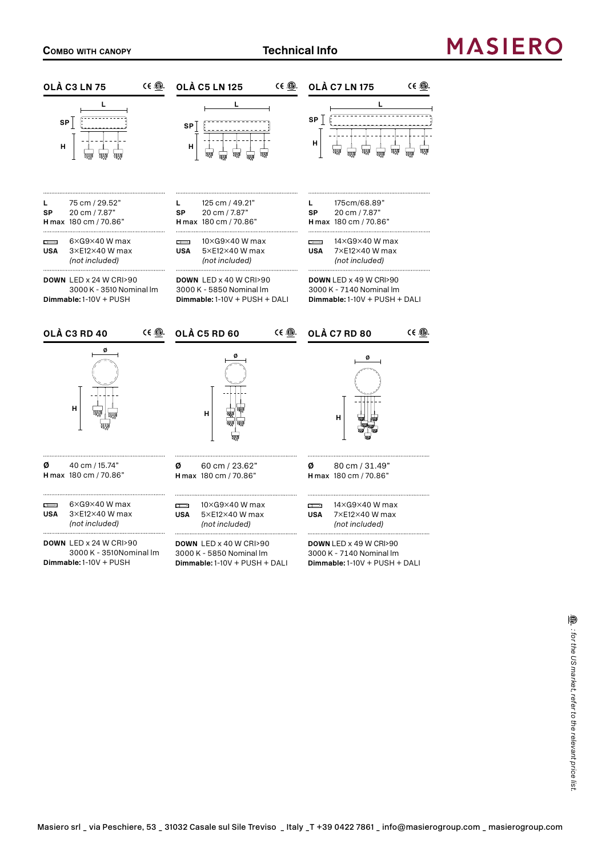### **MASIERC**

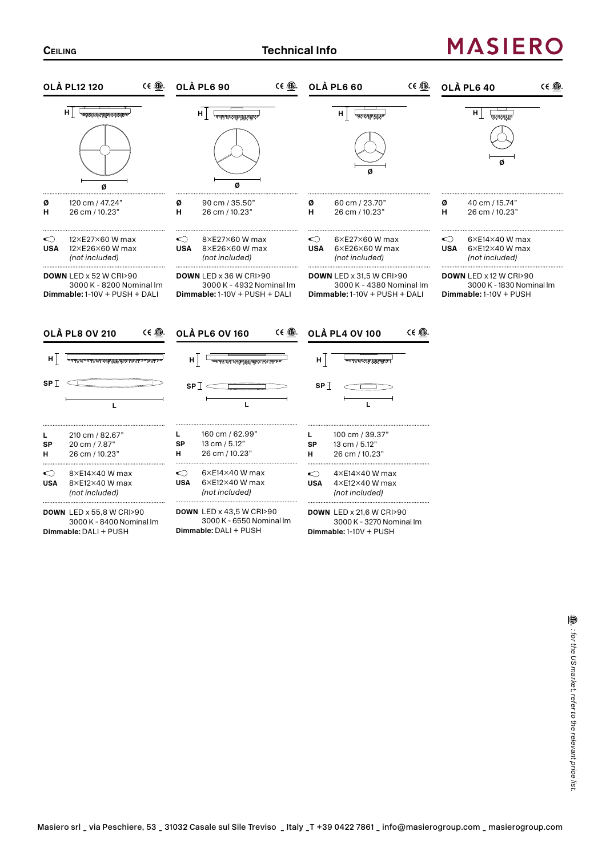# **MASIERO**

| $C \in \mathbb{C}$                                                                                                                                                                                                                                                                                                                                                                                              | $CE$ $CD$ .                                                                                                                      | $CE \oplus$                                                                                                                                                                                                                                                                                                                                                                                                                                                   | CE ®                                                                                                                                                                                                                                                                                                                                                                                                                             |
|-----------------------------------------------------------------------------------------------------------------------------------------------------------------------------------------------------------------------------------------------------------------------------------------------------------------------------------------------------------------------------------------------------------------|----------------------------------------------------------------------------------------------------------------------------------|---------------------------------------------------------------------------------------------------------------------------------------------------------------------------------------------------------------------------------------------------------------------------------------------------------------------------------------------------------------------------------------------------------------------------------------------------------------|----------------------------------------------------------------------------------------------------------------------------------------------------------------------------------------------------------------------------------------------------------------------------------------------------------------------------------------------------------------------------------------------------------------------------------|
| <b>OLÀ PL12 120</b>                                                                                                                                                                                                                                                                                                                                                                                             | <b>OLÀ PL6 90</b>                                                                                                                | <b>OLÀ PL6 60</b>                                                                                                                                                                                                                                                                                                                                                                                                                                             | <b>OLÀ PL6 40</b>                                                                                                                                                                                                                                                                                                                                                                                                                |
| $\begin{tabular}{ c c c c } \hline & \multicolumn{1}{ c }{\textbf{Adm}+2} & \multicolumn{1}{ c }{\textbf{Adm}+2} & \multicolumn{1}{ c }{\textbf{Adm}+2} & \multicolumn{1}{ c }{\textbf{Adm}+2} & \multicolumn{1}{ c }{\textbf{Adm}+2} & \multicolumn{1}{ c }{\textbf{Adm}+2} & \multicolumn{1}{ c }{\textbf{Adm}+2} & \multicolumn{1}{ c }{\textbf{Adm}+2} & \multicolumn{1}{ c }{\textbf{Adm}+2} & \mult$<br>Ø | н.<br>न्मुरुष्ट्रसम्बद्धारम् स्टब्स्<br>स्टब्स्<br>Ø                                                                             | ${\bf H} \begin{array}{ c c } \hline \end{array} \begin{array}{ c c } \hline \end{array} \begin{array}{ c c c } \hline \end{array} \begin{array}{ c c c } \hline \end{array} \begin{array}{ c c c } \hline \end{array} \begin{array}{ c c c } \hline \end{array} \begin{array}{ c c c c } \hline \end{array} \begin{array}{ c c c } \hline \end{array} \begin{array}{ c c c } \hline \end{array} \begin{array}{ c c c } \hline \end{array} \begin{array}{ c $ | H<br>$\begin{array}{c} \mathbb{E}[\mathbb{E}[\mathbb{E}[\mathbb{E}[\mathbb{E}[\mathbb{E}[\mathbb{E}[\mathbb{E}[\mathbb{E}[\mathbb{E}[\mathbb{E}[\mathbb{E}[\mathbb{E}[\mathbb{E}[\mathbb{E}[\mathbb{E}[\mathbb{E}[\mathbb{E}[\mathbb{E}[\mathbb{E}[\mathbb{E}[\mathbb{E}[\mathbb{E}[\mathbb{E}[\mathbb{E}[\mathbb{E}[\mathbb{E}[\mathbb{E}[\mathbb{E}[\mathbb{E}[\mathbb{E}[\mathbb{E}[\mathbb{E}[\mathbb{E}[\mathbb{E}[\mathbb$ |
| 120 cm / 47.24"                                                                                                                                                                                                                                                                                                                                                                                                 | 90 cm / 35.50"                                                                                                                   | 60 cm / 23.70"                                                                                                                                                                                                                                                                                                                                                                                                                                                | 40 cm / 15.74"                                                                                                                                                                                                                                                                                                                                                                                                                   |
| Ø                                                                                                                                                                                                                                                                                                                                                                                                               | Ø                                                                                                                                | Ø                                                                                                                                                                                                                                                                                                                                                                                                                                                             | Ø                                                                                                                                                                                                                                                                                                                                                                                                                                |
| 26 cm / 10.23"                                                                                                                                                                                                                                                                                                                                                                                                  | н                                                                                                                                | н                                                                                                                                                                                                                                                                                                                                                                                                                                                             | н                                                                                                                                                                                                                                                                                                                                                                                                                                |
| н                                                                                                                                                                                                                                                                                                                                                                                                               | 26 cm / 10.23"                                                                                                                   | 26 cm / 10.23"                                                                                                                                                                                                                                                                                                                                                                                                                                                | 26 cm / 10.23"                                                                                                                                                                                                                                                                                                                                                                                                                   |
| ◯                                                                                                                                                                                                                                                                                                                                                                                                               | ◯                                                                                                                                | ◯                                                                                                                                                                                                                                                                                                                                                                                                                                                             | ≌                                                                                                                                                                                                                                                                                                                                                                                                                                |
| 12×E27×60 W max                                                                                                                                                                                                                                                                                                                                                                                                 | 8×E27×60 W max                                                                                                                   | 6×E27×60 W max                                                                                                                                                                                                                                                                                                                                                                                                                                                | $6\times$ E14 $\times$ 40 W max                                                                                                                                                                                                                                                                                                                                                                                                  |
| <b>USA</b>                                                                                                                                                                                                                                                                                                                                                                                                      | <b>USA</b>                                                                                                                       | <b>USA</b>                                                                                                                                                                                                                                                                                                                                                                                                                                                    | <b>USA</b>                                                                                                                                                                                                                                                                                                                                                                                                                       |
| 12×E26×60 W max                                                                                                                                                                                                                                                                                                                                                                                                 | 8×E26×60 W max                                                                                                                   | $6\times$ E26 $\times$ 60 W max                                                                                                                                                                                                                                                                                                                                                                                                                               | $6\times E12\times 40$ W max                                                                                                                                                                                                                                                                                                                                                                                                     |
| (not included)                                                                                                                                                                                                                                                                                                                                                                                                  | (not included)                                                                                                                   | (not included)                                                                                                                                                                                                                                                                                                                                                                                                                                                | (not included)                                                                                                                                                                                                                                                                                                                                                                                                                   |
| DOWN LED x 52 W CRI>90<br>3000 K - 8200 Nominal Im<br>$Dimmable: 1-10V + PUSH + DALI$<br>CE ®<br><b>OLÀ PL8 OV 210</b>                                                                                                                                                                                                                                                                                          | <b>DOWN LED x 36 W CRI&gt;90</b><br>3000 K - 4932 Nominal Im<br>$Dimmable: 1-10V + PUSH + DALI$<br>CE ®<br><b>OLÀ PL6 OV 160</b> | <b>DOWN</b> LED x 31,5 W CRI>90<br>3000 K - 4380 Nominal Im<br>$Dimmable: 1-10V + PUSH + DALI$<br>CE ®<br><b>OLÀ PL4 OV 100</b>                                                                                                                                                                                                                                                                                                                               | <b>DOWN</b> LED x 12 W CRI>90<br>3000 K - 1830 Nominal Im<br>$Dimmable: 1-10V + PUSH$                                                                                                                                                                                                                                                                                                                                            |
| H                                                                                                                                                                                                                                                                                                                                                                                                               | нļ                                                                                                                               | H                                                                                                                                                                                                                                                                                                                                                                                                                                                             |                                                                                                                                                                                                                                                                                                                                                                                                                                  |
|                                                                                                                                                                                                                                                                                                                                                                                                                 |                                                                                                                                  | म् अनुसारम् अस्ति स्थानम् अस्ति ।<br>सन्दर्भ स्थानसम्बद्धाः स्थानसम्बद्धाः स्थानसम्बद्धाः स्थानसम्बद्धाः स्थानसम्                                                                                                                                                                                                                                                                                                                                             |                                                                                                                                                                                                                                                                                                                                                                                                                                  |
| SP $\mathbb T$<br>L                                                                                                                                                                                                                                                                                                                                                                                             | $SPT \in$<br>L                                                                                                                   | SP $\mathbb T$                                                                                                                                                                                                                                                                                                                                                                                                                                                |                                                                                                                                                                                                                                                                                                                                                                                                                                  |
| 210 cm / 82.67"<br>L<br>20 cm / 7.87"<br><b>SP</b><br>26 cm / 10.23"<br>н                                                                                                                                                                                                                                                                                                                                       | 160 cm / 62.99"<br>L<br>13 cm / 5.12"<br><b>SP</b><br>н<br>26 cm / 10.23"                                                        | 100 cm / 39.37"<br>L.<br>13 cm / 5.12"<br><b>SP</b><br>26 cm / 10.23"<br>н<br>                                                                                                                                                                                                                                                                                                                                                                                |                                                                                                                                                                                                                                                                                                                                                                                                                                  |
| ⇔                                                                                                                                                                                                                                                                                                                                                                                                               | $6\times$ E14 $\times$ 40 W max                                                                                                  | $\bigcirc$                                                                                                                                                                                                                                                                                                                                                                                                                                                    |                                                                                                                                                                                                                                                                                                                                                                                                                                  |
| 8×E14×40 W max                                                                                                                                                                                                                                                                                                                                                                                                  | ◯                                                                                                                                | $4\times$ E14 $\times$ 40 W max                                                                                                                                                                                                                                                                                                                                                                                                                               |                                                                                                                                                                                                                                                                                                                                                                                                                                  |
| 8×E12×40 W max                                                                                                                                                                                                                                                                                                                                                                                                  | 6×E12×40 W max                                                                                                                   | 4×E12×40 W max                                                                                                                                                                                                                                                                                                                                                                                                                                                |                                                                                                                                                                                                                                                                                                                                                                                                                                  |
| <b>USA</b>                                                                                                                                                                                                                                                                                                                                                                                                      | <b>USA</b>                                                                                                                       | <b>USA</b>                                                                                                                                                                                                                                                                                                                                                                                                                                                    |                                                                                                                                                                                                                                                                                                                                                                                                                                  |
| (not included)                                                                                                                                                                                                                                                                                                                                                                                                  | (not included)                                                                                                                   | (not included)                                                                                                                                                                                                                                                                                                                                                                                                                                                |                                                                                                                                                                                                                                                                                                                                                                                                                                  |
| <b>DOWN LED x 55,8 W CRI&gt;90</b>                                                                                                                                                                                                                                                                                                                                                                              | <b>DOWN LED x 43,5 W CRI&gt;90</b>                                                                                               | <b>DOWN LED x 21,6 W CRI&gt;90</b>                                                                                                                                                                                                                                                                                                                                                                                                                            |                                                                                                                                                                                                                                                                                                                                                                                                                                  |
| 3000 K - 8400 Nominal Im                                                                                                                                                                                                                                                                                                                                                                                        | 3000 K - 6550 Nominal Im                                                                                                         | 3000 K - 3270 Nominal Im                                                                                                                                                                                                                                                                                                                                                                                                                                      |                                                                                                                                                                                                                                                                                                                                                                                                                                  |
| Dimmable: DALI + PUSH                                                                                                                                                                                                                                                                                                                                                                                           | Dimmable: DALI + PUSH                                                                                                            | Dimmable: 1-10V + PUSH                                                                                                                                                                                                                                                                                                                                                                                                                                        |                                                                                                                                                                                                                                                                                                                                                                                                                                  |